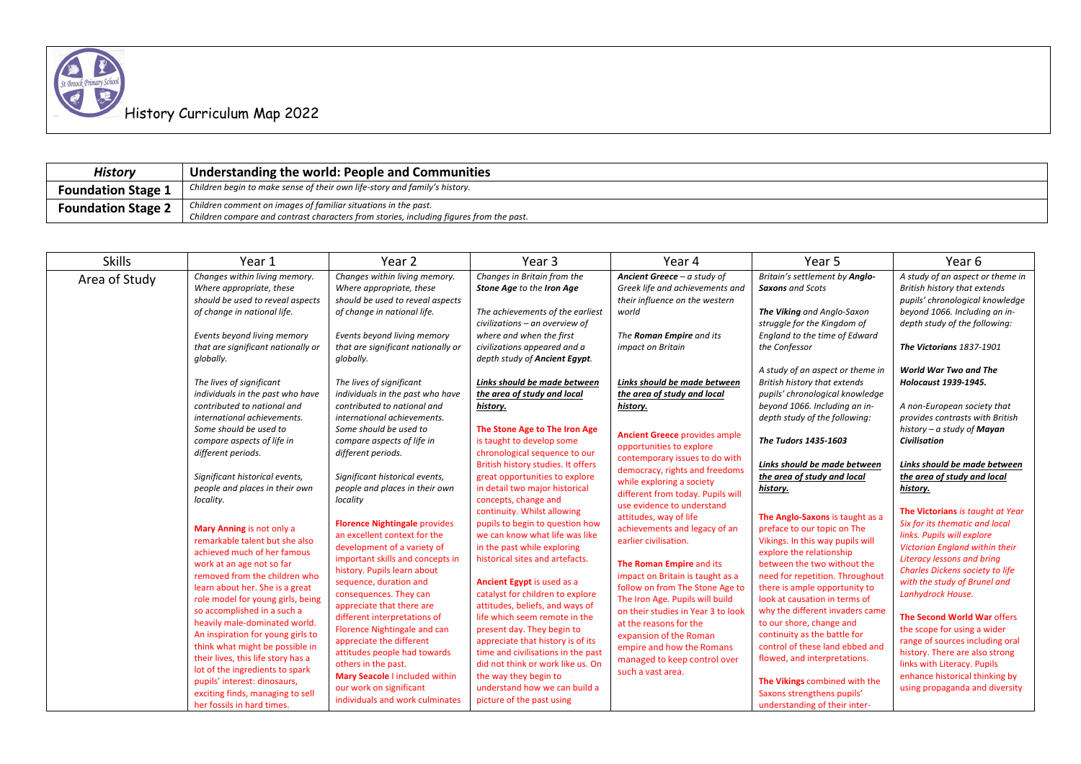| History                   | Understanding the world: People and Communities                                         |
|---------------------------|-----------------------------------------------------------------------------------------|
| <b>Foundation Stage 1</b> | Children begin to make sense of their own life-story and family's history.              |
| <b>Foundation Stage 2</b> | Children comment on images of familiar situations in the past.                          |
|                           | Children compare and contrast characters from stories, including figures from the past. |

| Changes in Britain from the<br>A study of an aspect or theme in<br>Changes within living memory.<br>Changes within living memory.<br>Ancient Greece - a study of<br>Britain's settlement by Anglo-<br>Area of Study<br>Where appropriate, these<br>Where appropriate, these<br>Stone Age to the Iron Age<br>Greek life and achievements and<br>British history that extends<br><b>Saxons</b> and Scots<br>should be used to reveal aspects<br>should be used to reveal aspects<br>their influence on the western<br>pupils' chronological knowledge<br>of change in national life.<br>The achievements of the earliest<br>The Viking and Anglo-Saxon<br>beyond 1066. Including an in-<br>of change in national life.<br>world<br>civilizations - an overview of<br>struggle for the Kingdom of<br>depth study of the following:<br>Events beyond living memory<br>where and when the first<br>Events beyond living memory<br>The Roman Empire and its<br>England to the time of Edward<br>that are significant nationally or<br>that are significant nationally or<br>civilizations appeared and a<br>the Confessor<br>impact on Britain<br>The Victorians 1837-1901<br>globally.<br>depth study of Ancient Egypt.<br>globally.<br>A study of an aspect or theme in<br><b>World War Two and The</b><br>British history that extends<br>The lives of significant<br>The lives of significant<br>Holocaust 1939-1945.<br>Links should be made between<br>Links should be made between<br>individuals in the past who have<br>the area of study and local<br>pupils' chronological knowledge<br>individuals in the past who have<br>the area of study and local<br>contributed to national and<br>contributed to national and<br>beyond 1066. Including an in-<br>A non-European society that<br>history.<br>history.<br>international achievements.<br>international achievements.<br>depth study of the following:<br>provides contrasts with British<br>Some should be used to<br>Some should be used to<br>The Stone Age to The Iron Age<br>history $-a$ study of <b>Mayan</b><br><b>Ancient Greece provides ample</b><br>is taught to develop some<br>Civilisation<br>compare aspects of life in<br>compare aspects of life in<br>The Tudors 1435-1603<br>opportunities to explore<br>chronological sequence to our<br>different periods.<br>different periods.<br>contemporary issues to do with<br>British history studies. It offers<br>Links should be made between<br>Links should be made between<br>democracy, rights and freedoms<br>Significant historical events,<br>Significant historical events,<br>great opportunities to explore<br>the area of study and local<br>the area of study and local<br>while exploring a society<br>in detail two major historical<br>people and places in their own<br>people and places in their own<br>history.<br>history.<br>different from today. Pupils will<br>concepts, change and<br>locality.<br>locality<br>use evidence to understand<br>continuity. Whilst allowing<br>The Victorians is taught at Year<br>attitudes, way of life<br>The Anglo-Saxons is taught as a<br>Six for its thematic and local<br><b>Florence Nightingale provides</b><br>pupils to begin to question how<br>achievements and legacy of an<br>Mary Anning is not only a<br>preface to our topic on The<br>an excellent context for the<br>we can know what life was like<br>links. Pupils will explore<br>remarkable talent but she also<br>earlier civilisation.<br>Vikings. In this way pupils will<br>development of a variety of<br>in the past while exploring<br>Victorian England within their<br>achieved much of her famous<br>explore the relationship<br>historical sites and artefacts.<br><b>Literacy lessons and bring</b><br>important skills and concepts in<br>The Roman Empire and its<br>between the two without the<br>work at an age not so far<br>history. Pupils learn about<br><b>Charles Dickens society to life</b><br>removed from the children who<br>need for repetition. Throughout<br>impact on Britain is taught as a<br>with the study of Brunel and<br>sequence, duration and<br>Ancient Egypt is used as a<br>learn about her. She is a great<br>follow on from The Stone Age to<br>there is ample opportunity to<br>catalyst for children to explore<br>Lanhydrock House.<br>consequences. They can<br>role model for young girls, being<br>The Iron Age. Pupils will build<br>look at causation in terms of<br>appreciate that there are<br>attitudes, beliefs, and ways of<br>so accomplished in a such a<br>why the different invaders came<br>on their studies in Year 3 to look<br>life which seem remote in the<br>The Second World War offers<br>different interpretations of<br>heavily male-dominated world.<br>to our shore, change and<br>at the reasons for the<br>Florence Nightingale and can<br>present day. They begin to<br>the scope for using a wider<br>An inspiration for young girls to<br>continuity as the battle for<br>expansion of the Roman<br>appreciate the different<br>appreciate that history is of its<br>range of sources including oral<br>think what might be possible in<br>control of these land ebbed and<br>empire and how the Romans<br>time and civilisations in the past<br>history. There are also strong<br>attitudes people had towards<br>their lives, this life story has a<br>flowed, and interpretations.<br>managed to keep control over<br>did not think or work like us. On<br>links with Literacy. Pupils<br>others in the past.<br>lot of the ingredients to spark<br>such a vast area.<br>Mary Seacole I included within<br>the way they begin to<br>enhance historical thinking by<br>pupils' interest: dinosaurs,<br>The Vikings combined with the<br>our work on significant<br>understand how we can build a<br>using propaganda and diversity<br>exciting finds, managing to sell<br>Saxons strengthens pupils'<br>individuals and work culminates<br>picture of the past using | <b>Skills</b> | Year 1                     | Year 2 | Year <sub>3</sub> | Year 4 | Year 5                        | Year 6 |
|---------------------------------------------------------------------------------------------------------------------------------------------------------------------------------------------------------------------------------------------------------------------------------------------------------------------------------------------------------------------------------------------------------------------------------------------------------------------------------------------------------------------------------------------------------------------------------------------------------------------------------------------------------------------------------------------------------------------------------------------------------------------------------------------------------------------------------------------------------------------------------------------------------------------------------------------------------------------------------------------------------------------------------------------------------------------------------------------------------------------------------------------------------------------------------------------------------------------------------------------------------------------------------------------------------------------------------------------------------------------------------------------------------------------------------------------------------------------------------------------------------------------------------------------------------------------------------------------------------------------------------------------------------------------------------------------------------------------------------------------------------------------------------------------------------------------------------------------------------------------------------------------------------------------------------------------------------------------------------------------------------------------------------------------------------------------------------------------------------------------------------------------------------------------------------------------------------------------------------------------------------------------------------------------------------------------------------------------------------------------------------------------------------------------------------------------------------------------------------------------------------------------------------------------------------------------------------------------------------------------------------------------------------------------------------------------------------------------------------------------------------------------------------------------------------------------------------------------------------------------------------------------------------------------------------------------------------------------------------------------------------------------------------------------------------------------------------------------------------------------------------------------------------------------------------------------------------------------------------------------------------------------------------------------------------------------------------------------------------------------------------------------------------------------------------------------------------------------------------------------------------------------------------------------------------------------------------------------------------------------------------------------------------------------------------------------------------------------------------------------------------------------------------------------------------------------------------------------------------------------------------------------------------------------------------------------------------------------------------------------------------------------------------------------------------------------------------------------------------------------------------------------------------------------------------------------------------------------------------------------------------------------------------------------------------------------------------------------------------------------------------------------------------------------------------------------------------------------------------------------------------------------------------------------------------------------------------------------------------------------------------------------------------------------------------------------------------------------------------------------------------------------------------------------------------------------------------------------------------------------------------------------------------------------------------------------------------------------------------------------------------------------------------------------------------------------------------------------------------------------------------------------------------------------------------------------------------------------------------------------------------------------------------------------------------------------------------------------------------------------------------------------------------------------------------------------------------------------------------------------------------------------------------------------------------------------------------------------------------------------------------------------------------------------------------------------------------------------------------------------------------------------------------------------------------------------------------------------------------------------------------------------------------------------------------------------------------------------------------------------------------------------|---------------|----------------------------|--------|-------------------|--------|-------------------------------|--------|
|                                                                                                                                                                                                                                                                                                                                                                                                                                                                                                                                                                                                                                                                                                                                                                                                                                                                                                                                                                                                                                                                                                                                                                                                                                                                                                                                                                                                                                                                                                                                                                                                                                                                                                                                                                                                                                                                                                                                                                                                                                                                                                                                                                                                                                                                                                                                                                                                                                                                                                                                                                                                                                                                                                                                                                                                                                                                                                                                                                                                                                                                                                                                                                                                                                                                                                                                                                                                                                                                                                                                                                                                                                                                                                                                                                                                                                                                                                                                                                                                                                                                                                                                                                                                                                                                                                                                                                                                                                                                                                                                                                                                                                                                                                                                                                                                                                                                                                                                                                                                                                                                                                                                                                                                                                                                                                                                                                                                                                                                                                                                                                                                                                                                                                                                                                                                                                                                                                                                                                                                                     |               |                            |        |                   |        |                               |        |
|                                                                                                                                                                                                                                                                                                                                                                                                                                                                                                                                                                                                                                                                                                                                                                                                                                                                                                                                                                                                                                                                                                                                                                                                                                                                                                                                                                                                                                                                                                                                                                                                                                                                                                                                                                                                                                                                                                                                                                                                                                                                                                                                                                                                                                                                                                                                                                                                                                                                                                                                                                                                                                                                                                                                                                                                                                                                                                                                                                                                                                                                                                                                                                                                                                                                                                                                                                                                                                                                                                                                                                                                                                                                                                                                                                                                                                                                                                                                                                                                                                                                                                                                                                                                                                                                                                                                                                                                                                                                                                                                                                                                                                                                                                                                                                                                                                                                                                                                                                                                                                                                                                                                                                                                                                                                                                                                                                                                                                                                                                                                                                                                                                                                                                                                                                                                                                                                                                                                                                                                                     |               |                            |        |                   |        |                               |        |
|                                                                                                                                                                                                                                                                                                                                                                                                                                                                                                                                                                                                                                                                                                                                                                                                                                                                                                                                                                                                                                                                                                                                                                                                                                                                                                                                                                                                                                                                                                                                                                                                                                                                                                                                                                                                                                                                                                                                                                                                                                                                                                                                                                                                                                                                                                                                                                                                                                                                                                                                                                                                                                                                                                                                                                                                                                                                                                                                                                                                                                                                                                                                                                                                                                                                                                                                                                                                                                                                                                                                                                                                                                                                                                                                                                                                                                                                                                                                                                                                                                                                                                                                                                                                                                                                                                                                                                                                                                                                                                                                                                                                                                                                                                                                                                                                                                                                                                                                                                                                                                                                                                                                                                                                                                                                                                                                                                                                                                                                                                                                                                                                                                                                                                                                                                                                                                                                                                                                                                                                                     |               |                            |        |                   |        |                               |        |
|                                                                                                                                                                                                                                                                                                                                                                                                                                                                                                                                                                                                                                                                                                                                                                                                                                                                                                                                                                                                                                                                                                                                                                                                                                                                                                                                                                                                                                                                                                                                                                                                                                                                                                                                                                                                                                                                                                                                                                                                                                                                                                                                                                                                                                                                                                                                                                                                                                                                                                                                                                                                                                                                                                                                                                                                                                                                                                                                                                                                                                                                                                                                                                                                                                                                                                                                                                                                                                                                                                                                                                                                                                                                                                                                                                                                                                                                                                                                                                                                                                                                                                                                                                                                                                                                                                                                                                                                                                                                                                                                                                                                                                                                                                                                                                                                                                                                                                                                                                                                                                                                                                                                                                                                                                                                                                                                                                                                                                                                                                                                                                                                                                                                                                                                                                                                                                                                                                                                                                                                                     |               |                            |        |                   |        |                               |        |
|                                                                                                                                                                                                                                                                                                                                                                                                                                                                                                                                                                                                                                                                                                                                                                                                                                                                                                                                                                                                                                                                                                                                                                                                                                                                                                                                                                                                                                                                                                                                                                                                                                                                                                                                                                                                                                                                                                                                                                                                                                                                                                                                                                                                                                                                                                                                                                                                                                                                                                                                                                                                                                                                                                                                                                                                                                                                                                                                                                                                                                                                                                                                                                                                                                                                                                                                                                                                                                                                                                                                                                                                                                                                                                                                                                                                                                                                                                                                                                                                                                                                                                                                                                                                                                                                                                                                                                                                                                                                                                                                                                                                                                                                                                                                                                                                                                                                                                                                                                                                                                                                                                                                                                                                                                                                                                                                                                                                                                                                                                                                                                                                                                                                                                                                                                                                                                                                                                                                                                                                                     |               |                            |        |                   |        |                               |        |
|                                                                                                                                                                                                                                                                                                                                                                                                                                                                                                                                                                                                                                                                                                                                                                                                                                                                                                                                                                                                                                                                                                                                                                                                                                                                                                                                                                                                                                                                                                                                                                                                                                                                                                                                                                                                                                                                                                                                                                                                                                                                                                                                                                                                                                                                                                                                                                                                                                                                                                                                                                                                                                                                                                                                                                                                                                                                                                                                                                                                                                                                                                                                                                                                                                                                                                                                                                                                                                                                                                                                                                                                                                                                                                                                                                                                                                                                                                                                                                                                                                                                                                                                                                                                                                                                                                                                                                                                                                                                                                                                                                                                                                                                                                                                                                                                                                                                                                                                                                                                                                                                                                                                                                                                                                                                                                                                                                                                                                                                                                                                                                                                                                                                                                                                                                                                                                                                                                                                                                                                                     |               |                            |        |                   |        |                               |        |
|                                                                                                                                                                                                                                                                                                                                                                                                                                                                                                                                                                                                                                                                                                                                                                                                                                                                                                                                                                                                                                                                                                                                                                                                                                                                                                                                                                                                                                                                                                                                                                                                                                                                                                                                                                                                                                                                                                                                                                                                                                                                                                                                                                                                                                                                                                                                                                                                                                                                                                                                                                                                                                                                                                                                                                                                                                                                                                                                                                                                                                                                                                                                                                                                                                                                                                                                                                                                                                                                                                                                                                                                                                                                                                                                                                                                                                                                                                                                                                                                                                                                                                                                                                                                                                                                                                                                                                                                                                                                                                                                                                                                                                                                                                                                                                                                                                                                                                                                                                                                                                                                                                                                                                                                                                                                                                                                                                                                                                                                                                                                                                                                                                                                                                                                                                                                                                                                                                                                                                                                                     |               |                            |        |                   |        |                               |        |
|                                                                                                                                                                                                                                                                                                                                                                                                                                                                                                                                                                                                                                                                                                                                                                                                                                                                                                                                                                                                                                                                                                                                                                                                                                                                                                                                                                                                                                                                                                                                                                                                                                                                                                                                                                                                                                                                                                                                                                                                                                                                                                                                                                                                                                                                                                                                                                                                                                                                                                                                                                                                                                                                                                                                                                                                                                                                                                                                                                                                                                                                                                                                                                                                                                                                                                                                                                                                                                                                                                                                                                                                                                                                                                                                                                                                                                                                                                                                                                                                                                                                                                                                                                                                                                                                                                                                                                                                                                                                                                                                                                                                                                                                                                                                                                                                                                                                                                                                                                                                                                                                                                                                                                                                                                                                                                                                                                                                                                                                                                                                                                                                                                                                                                                                                                                                                                                                                                                                                                                                                     |               |                            |        |                   |        |                               |        |
|                                                                                                                                                                                                                                                                                                                                                                                                                                                                                                                                                                                                                                                                                                                                                                                                                                                                                                                                                                                                                                                                                                                                                                                                                                                                                                                                                                                                                                                                                                                                                                                                                                                                                                                                                                                                                                                                                                                                                                                                                                                                                                                                                                                                                                                                                                                                                                                                                                                                                                                                                                                                                                                                                                                                                                                                                                                                                                                                                                                                                                                                                                                                                                                                                                                                                                                                                                                                                                                                                                                                                                                                                                                                                                                                                                                                                                                                                                                                                                                                                                                                                                                                                                                                                                                                                                                                                                                                                                                                                                                                                                                                                                                                                                                                                                                                                                                                                                                                                                                                                                                                                                                                                                                                                                                                                                                                                                                                                                                                                                                                                                                                                                                                                                                                                                                                                                                                                                                                                                                                                     |               |                            |        |                   |        |                               |        |
|                                                                                                                                                                                                                                                                                                                                                                                                                                                                                                                                                                                                                                                                                                                                                                                                                                                                                                                                                                                                                                                                                                                                                                                                                                                                                                                                                                                                                                                                                                                                                                                                                                                                                                                                                                                                                                                                                                                                                                                                                                                                                                                                                                                                                                                                                                                                                                                                                                                                                                                                                                                                                                                                                                                                                                                                                                                                                                                                                                                                                                                                                                                                                                                                                                                                                                                                                                                                                                                                                                                                                                                                                                                                                                                                                                                                                                                                                                                                                                                                                                                                                                                                                                                                                                                                                                                                                                                                                                                                                                                                                                                                                                                                                                                                                                                                                                                                                                                                                                                                                                                                                                                                                                                                                                                                                                                                                                                                                                                                                                                                                                                                                                                                                                                                                                                                                                                                                                                                                                                                                     |               |                            |        |                   |        |                               |        |
|                                                                                                                                                                                                                                                                                                                                                                                                                                                                                                                                                                                                                                                                                                                                                                                                                                                                                                                                                                                                                                                                                                                                                                                                                                                                                                                                                                                                                                                                                                                                                                                                                                                                                                                                                                                                                                                                                                                                                                                                                                                                                                                                                                                                                                                                                                                                                                                                                                                                                                                                                                                                                                                                                                                                                                                                                                                                                                                                                                                                                                                                                                                                                                                                                                                                                                                                                                                                                                                                                                                                                                                                                                                                                                                                                                                                                                                                                                                                                                                                                                                                                                                                                                                                                                                                                                                                                                                                                                                                                                                                                                                                                                                                                                                                                                                                                                                                                                                                                                                                                                                                                                                                                                                                                                                                                                                                                                                                                                                                                                                                                                                                                                                                                                                                                                                                                                                                                                                                                                                                                     |               |                            |        |                   |        |                               |        |
|                                                                                                                                                                                                                                                                                                                                                                                                                                                                                                                                                                                                                                                                                                                                                                                                                                                                                                                                                                                                                                                                                                                                                                                                                                                                                                                                                                                                                                                                                                                                                                                                                                                                                                                                                                                                                                                                                                                                                                                                                                                                                                                                                                                                                                                                                                                                                                                                                                                                                                                                                                                                                                                                                                                                                                                                                                                                                                                                                                                                                                                                                                                                                                                                                                                                                                                                                                                                                                                                                                                                                                                                                                                                                                                                                                                                                                                                                                                                                                                                                                                                                                                                                                                                                                                                                                                                                                                                                                                                                                                                                                                                                                                                                                                                                                                                                                                                                                                                                                                                                                                                                                                                                                                                                                                                                                                                                                                                                                                                                                                                                                                                                                                                                                                                                                                                                                                                                                                                                                                                                     |               |                            |        |                   |        |                               |        |
|                                                                                                                                                                                                                                                                                                                                                                                                                                                                                                                                                                                                                                                                                                                                                                                                                                                                                                                                                                                                                                                                                                                                                                                                                                                                                                                                                                                                                                                                                                                                                                                                                                                                                                                                                                                                                                                                                                                                                                                                                                                                                                                                                                                                                                                                                                                                                                                                                                                                                                                                                                                                                                                                                                                                                                                                                                                                                                                                                                                                                                                                                                                                                                                                                                                                                                                                                                                                                                                                                                                                                                                                                                                                                                                                                                                                                                                                                                                                                                                                                                                                                                                                                                                                                                                                                                                                                                                                                                                                                                                                                                                                                                                                                                                                                                                                                                                                                                                                                                                                                                                                                                                                                                                                                                                                                                                                                                                                                                                                                                                                                                                                                                                                                                                                                                                                                                                                                                                                                                                                                     |               |                            |        |                   |        |                               |        |
|                                                                                                                                                                                                                                                                                                                                                                                                                                                                                                                                                                                                                                                                                                                                                                                                                                                                                                                                                                                                                                                                                                                                                                                                                                                                                                                                                                                                                                                                                                                                                                                                                                                                                                                                                                                                                                                                                                                                                                                                                                                                                                                                                                                                                                                                                                                                                                                                                                                                                                                                                                                                                                                                                                                                                                                                                                                                                                                                                                                                                                                                                                                                                                                                                                                                                                                                                                                                                                                                                                                                                                                                                                                                                                                                                                                                                                                                                                                                                                                                                                                                                                                                                                                                                                                                                                                                                                                                                                                                                                                                                                                                                                                                                                                                                                                                                                                                                                                                                                                                                                                                                                                                                                                                                                                                                                                                                                                                                                                                                                                                                                                                                                                                                                                                                                                                                                                                                                                                                                                                                     |               |                            |        |                   |        |                               |        |
|                                                                                                                                                                                                                                                                                                                                                                                                                                                                                                                                                                                                                                                                                                                                                                                                                                                                                                                                                                                                                                                                                                                                                                                                                                                                                                                                                                                                                                                                                                                                                                                                                                                                                                                                                                                                                                                                                                                                                                                                                                                                                                                                                                                                                                                                                                                                                                                                                                                                                                                                                                                                                                                                                                                                                                                                                                                                                                                                                                                                                                                                                                                                                                                                                                                                                                                                                                                                                                                                                                                                                                                                                                                                                                                                                                                                                                                                                                                                                                                                                                                                                                                                                                                                                                                                                                                                                                                                                                                                                                                                                                                                                                                                                                                                                                                                                                                                                                                                                                                                                                                                                                                                                                                                                                                                                                                                                                                                                                                                                                                                                                                                                                                                                                                                                                                                                                                                                                                                                                                                                     |               |                            |        |                   |        |                               |        |
|                                                                                                                                                                                                                                                                                                                                                                                                                                                                                                                                                                                                                                                                                                                                                                                                                                                                                                                                                                                                                                                                                                                                                                                                                                                                                                                                                                                                                                                                                                                                                                                                                                                                                                                                                                                                                                                                                                                                                                                                                                                                                                                                                                                                                                                                                                                                                                                                                                                                                                                                                                                                                                                                                                                                                                                                                                                                                                                                                                                                                                                                                                                                                                                                                                                                                                                                                                                                                                                                                                                                                                                                                                                                                                                                                                                                                                                                                                                                                                                                                                                                                                                                                                                                                                                                                                                                                                                                                                                                                                                                                                                                                                                                                                                                                                                                                                                                                                                                                                                                                                                                                                                                                                                                                                                                                                                                                                                                                                                                                                                                                                                                                                                                                                                                                                                                                                                                                                                                                                                                                     |               |                            |        |                   |        |                               |        |
|                                                                                                                                                                                                                                                                                                                                                                                                                                                                                                                                                                                                                                                                                                                                                                                                                                                                                                                                                                                                                                                                                                                                                                                                                                                                                                                                                                                                                                                                                                                                                                                                                                                                                                                                                                                                                                                                                                                                                                                                                                                                                                                                                                                                                                                                                                                                                                                                                                                                                                                                                                                                                                                                                                                                                                                                                                                                                                                                                                                                                                                                                                                                                                                                                                                                                                                                                                                                                                                                                                                                                                                                                                                                                                                                                                                                                                                                                                                                                                                                                                                                                                                                                                                                                                                                                                                                                                                                                                                                                                                                                                                                                                                                                                                                                                                                                                                                                                                                                                                                                                                                                                                                                                                                                                                                                                                                                                                                                                                                                                                                                                                                                                                                                                                                                                                                                                                                                                                                                                                                                     |               |                            |        |                   |        |                               |        |
|                                                                                                                                                                                                                                                                                                                                                                                                                                                                                                                                                                                                                                                                                                                                                                                                                                                                                                                                                                                                                                                                                                                                                                                                                                                                                                                                                                                                                                                                                                                                                                                                                                                                                                                                                                                                                                                                                                                                                                                                                                                                                                                                                                                                                                                                                                                                                                                                                                                                                                                                                                                                                                                                                                                                                                                                                                                                                                                                                                                                                                                                                                                                                                                                                                                                                                                                                                                                                                                                                                                                                                                                                                                                                                                                                                                                                                                                                                                                                                                                                                                                                                                                                                                                                                                                                                                                                                                                                                                                                                                                                                                                                                                                                                                                                                                                                                                                                                                                                                                                                                                                                                                                                                                                                                                                                                                                                                                                                                                                                                                                                                                                                                                                                                                                                                                                                                                                                                                                                                                                                     |               |                            |        |                   |        |                               |        |
|                                                                                                                                                                                                                                                                                                                                                                                                                                                                                                                                                                                                                                                                                                                                                                                                                                                                                                                                                                                                                                                                                                                                                                                                                                                                                                                                                                                                                                                                                                                                                                                                                                                                                                                                                                                                                                                                                                                                                                                                                                                                                                                                                                                                                                                                                                                                                                                                                                                                                                                                                                                                                                                                                                                                                                                                                                                                                                                                                                                                                                                                                                                                                                                                                                                                                                                                                                                                                                                                                                                                                                                                                                                                                                                                                                                                                                                                                                                                                                                                                                                                                                                                                                                                                                                                                                                                                                                                                                                                                                                                                                                                                                                                                                                                                                                                                                                                                                                                                                                                                                                                                                                                                                                                                                                                                                                                                                                                                                                                                                                                                                                                                                                                                                                                                                                                                                                                                                                                                                                                                     |               |                            |        |                   |        |                               |        |
|                                                                                                                                                                                                                                                                                                                                                                                                                                                                                                                                                                                                                                                                                                                                                                                                                                                                                                                                                                                                                                                                                                                                                                                                                                                                                                                                                                                                                                                                                                                                                                                                                                                                                                                                                                                                                                                                                                                                                                                                                                                                                                                                                                                                                                                                                                                                                                                                                                                                                                                                                                                                                                                                                                                                                                                                                                                                                                                                                                                                                                                                                                                                                                                                                                                                                                                                                                                                                                                                                                                                                                                                                                                                                                                                                                                                                                                                                                                                                                                                                                                                                                                                                                                                                                                                                                                                                                                                                                                                                                                                                                                                                                                                                                                                                                                                                                                                                                                                                                                                                                                                                                                                                                                                                                                                                                                                                                                                                                                                                                                                                                                                                                                                                                                                                                                                                                                                                                                                                                                                                     |               |                            |        |                   |        |                               |        |
|                                                                                                                                                                                                                                                                                                                                                                                                                                                                                                                                                                                                                                                                                                                                                                                                                                                                                                                                                                                                                                                                                                                                                                                                                                                                                                                                                                                                                                                                                                                                                                                                                                                                                                                                                                                                                                                                                                                                                                                                                                                                                                                                                                                                                                                                                                                                                                                                                                                                                                                                                                                                                                                                                                                                                                                                                                                                                                                                                                                                                                                                                                                                                                                                                                                                                                                                                                                                                                                                                                                                                                                                                                                                                                                                                                                                                                                                                                                                                                                                                                                                                                                                                                                                                                                                                                                                                                                                                                                                                                                                                                                                                                                                                                                                                                                                                                                                                                                                                                                                                                                                                                                                                                                                                                                                                                                                                                                                                                                                                                                                                                                                                                                                                                                                                                                                                                                                                                                                                                                                                     |               |                            |        |                   |        |                               |        |
|                                                                                                                                                                                                                                                                                                                                                                                                                                                                                                                                                                                                                                                                                                                                                                                                                                                                                                                                                                                                                                                                                                                                                                                                                                                                                                                                                                                                                                                                                                                                                                                                                                                                                                                                                                                                                                                                                                                                                                                                                                                                                                                                                                                                                                                                                                                                                                                                                                                                                                                                                                                                                                                                                                                                                                                                                                                                                                                                                                                                                                                                                                                                                                                                                                                                                                                                                                                                                                                                                                                                                                                                                                                                                                                                                                                                                                                                                                                                                                                                                                                                                                                                                                                                                                                                                                                                                                                                                                                                                                                                                                                                                                                                                                                                                                                                                                                                                                                                                                                                                                                                                                                                                                                                                                                                                                                                                                                                                                                                                                                                                                                                                                                                                                                                                                                                                                                                                                                                                                                                                     |               |                            |        |                   |        |                               |        |
|                                                                                                                                                                                                                                                                                                                                                                                                                                                                                                                                                                                                                                                                                                                                                                                                                                                                                                                                                                                                                                                                                                                                                                                                                                                                                                                                                                                                                                                                                                                                                                                                                                                                                                                                                                                                                                                                                                                                                                                                                                                                                                                                                                                                                                                                                                                                                                                                                                                                                                                                                                                                                                                                                                                                                                                                                                                                                                                                                                                                                                                                                                                                                                                                                                                                                                                                                                                                                                                                                                                                                                                                                                                                                                                                                                                                                                                                                                                                                                                                                                                                                                                                                                                                                                                                                                                                                                                                                                                                                                                                                                                                                                                                                                                                                                                                                                                                                                                                                                                                                                                                                                                                                                                                                                                                                                                                                                                                                                                                                                                                                                                                                                                                                                                                                                                                                                                                                                                                                                                                                     |               |                            |        |                   |        |                               |        |
|                                                                                                                                                                                                                                                                                                                                                                                                                                                                                                                                                                                                                                                                                                                                                                                                                                                                                                                                                                                                                                                                                                                                                                                                                                                                                                                                                                                                                                                                                                                                                                                                                                                                                                                                                                                                                                                                                                                                                                                                                                                                                                                                                                                                                                                                                                                                                                                                                                                                                                                                                                                                                                                                                                                                                                                                                                                                                                                                                                                                                                                                                                                                                                                                                                                                                                                                                                                                                                                                                                                                                                                                                                                                                                                                                                                                                                                                                                                                                                                                                                                                                                                                                                                                                                                                                                                                                                                                                                                                                                                                                                                                                                                                                                                                                                                                                                                                                                                                                                                                                                                                                                                                                                                                                                                                                                                                                                                                                                                                                                                                                                                                                                                                                                                                                                                                                                                                                                                                                                                                                     |               |                            |        |                   |        |                               |        |
|                                                                                                                                                                                                                                                                                                                                                                                                                                                                                                                                                                                                                                                                                                                                                                                                                                                                                                                                                                                                                                                                                                                                                                                                                                                                                                                                                                                                                                                                                                                                                                                                                                                                                                                                                                                                                                                                                                                                                                                                                                                                                                                                                                                                                                                                                                                                                                                                                                                                                                                                                                                                                                                                                                                                                                                                                                                                                                                                                                                                                                                                                                                                                                                                                                                                                                                                                                                                                                                                                                                                                                                                                                                                                                                                                                                                                                                                                                                                                                                                                                                                                                                                                                                                                                                                                                                                                                                                                                                                                                                                                                                                                                                                                                                                                                                                                                                                                                                                                                                                                                                                                                                                                                                                                                                                                                                                                                                                                                                                                                                                                                                                                                                                                                                                                                                                                                                                                                                                                                                                                     |               |                            |        |                   |        |                               |        |
|                                                                                                                                                                                                                                                                                                                                                                                                                                                                                                                                                                                                                                                                                                                                                                                                                                                                                                                                                                                                                                                                                                                                                                                                                                                                                                                                                                                                                                                                                                                                                                                                                                                                                                                                                                                                                                                                                                                                                                                                                                                                                                                                                                                                                                                                                                                                                                                                                                                                                                                                                                                                                                                                                                                                                                                                                                                                                                                                                                                                                                                                                                                                                                                                                                                                                                                                                                                                                                                                                                                                                                                                                                                                                                                                                                                                                                                                                                                                                                                                                                                                                                                                                                                                                                                                                                                                                                                                                                                                                                                                                                                                                                                                                                                                                                                                                                                                                                                                                                                                                                                                                                                                                                                                                                                                                                                                                                                                                                                                                                                                                                                                                                                                                                                                                                                                                                                                                                                                                                                                                     |               |                            |        |                   |        |                               |        |
|                                                                                                                                                                                                                                                                                                                                                                                                                                                                                                                                                                                                                                                                                                                                                                                                                                                                                                                                                                                                                                                                                                                                                                                                                                                                                                                                                                                                                                                                                                                                                                                                                                                                                                                                                                                                                                                                                                                                                                                                                                                                                                                                                                                                                                                                                                                                                                                                                                                                                                                                                                                                                                                                                                                                                                                                                                                                                                                                                                                                                                                                                                                                                                                                                                                                                                                                                                                                                                                                                                                                                                                                                                                                                                                                                                                                                                                                                                                                                                                                                                                                                                                                                                                                                                                                                                                                                                                                                                                                                                                                                                                                                                                                                                                                                                                                                                                                                                                                                                                                                                                                                                                                                                                                                                                                                                                                                                                                                                                                                                                                                                                                                                                                                                                                                                                                                                                                                                                                                                                                                     |               |                            |        |                   |        |                               |        |
|                                                                                                                                                                                                                                                                                                                                                                                                                                                                                                                                                                                                                                                                                                                                                                                                                                                                                                                                                                                                                                                                                                                                                                                                                                                                                                                                                                                                                                                                                                                                                                                                                                                                                                                                                                                                                                                                                                                                                                                                                                                                                                                                                                                                                                                                                                                                                                                                                                                                                                                                                                                                                                                                                                                                                                                                                                                                                                                                                                                                                                                                                                                                                                                                                                                                                                                                                                                                                                                                                                                                                                                                                                                                                                                                                                                                                                                                                                                                                                                                                                                                                                                                                                                                                                                                                                                                                                                                                                                                                                                                                                                                                                                                                                                                                                                                                                                                                                                                                                                                                                                                                                                                                                                                                                                                                                                                                                                                                                                                                                                                                                                                                                                                                                                                                                                                                                                                                                                                                                                                                     |               |                            |        |                   |        |                               |        |
|                                                                                                                                                                                                                                                                                                                                                                                                                                                                                                                                                                                                                                                                                                                                                                                                                                                                                                                                                                                                                                                                                                                                                                                                                                                                                                                                                                                                                                                                                                                                                                                                                                                                                                                                                                                                                                                                                                                                                                                                                                                                                                                                                                                                                                                                                                                                                                                                                                                                                                                                                                                                                                                                                                                                                                                                                                                                                                                                                                                                                                                                                                                                                                                                                                                                                                                                                                                                                                                                                                                                                                                                                                                                                                                                                                                                                                                                                                                                                                                                                                                                                                                                                                                                                                                                                                                                                                                                                                                                                                                                                                                                                                                                                                                                                                                                                                                                                                                                                                                                                                                                                                                                                                                                                                                                                                                                                                                                                                                                                                                                                                                                                                                                                                                                                                                                                                                                                                                                                                                                                     |               |                            |        |                   |        |                               |        |
|                                                                                                                                                                                                                                                                                                                                                                                                                                                                                                                                                                                                                                                                                                                                                                                                                                                                                                                                                                                                                                                                                                                                                                                                                                                                                                                                                                                                                                                                                                                                                                                                                                                                                                                                                                                                                                                                                                                                                                                                                                                                                                                                                                                                                                                                                                                                                                                                                                                                                                                                                                                                                                                                                                                                                                                                                                                                                                                                                                                                                                                                                                                                                                                                                                                                                                                                                                                                                                                                                                                                                                                                                                                                                                                                                                                                                                                                                                                                                                                                                                                                                                                                                                                                                                                                                                                                                                                                                                                                                                                                                                                                                                                                                                                                                                                                                                                                                                                                                                                                                                                                                                                                                                                                                                                                                                                                                                                                                                                                                                                                                                                                                                                                                                                                                                                                                                                                                                                                                                                                                     |               |                            |        |                   |        |                               |        |
|                                                                                                                                                                                                                                                                                                                                                                                                                                                                                                                                                                                                                                                                                                                                                                                                                                                                                                                                                                                                                                                                                                                                                                                                                                                                                                                                                                                                                                                                                                                                                                                                                                                                                                                                                                                                                                                                                                                                                                                                                                                                                                                                                                                                                                                                                                                                                                                                                                                                                                                                                                                                                                                                                                                                                                                                                                                                                                                                                                                                                                                                                                                                                                                                                                                                                                                                                                                                                                                                                                                                                                                                                                                                                                                                                                                                                                                                                                                                                                                                                                                                                                                                                                                                                                                                                                                                                                                                                                                                                                                                                                                                                                                                                                                                                                                                                                                                                                                                                                                                                                                                                                                                                                                                                                                                                                                                                                                                                                                                                                                                                                                                                                                                                                                                                                                                                                                                                                                                                                                                                     |               |                            |        |                   |        |                               |        |
|                                                                                                                                                                                                                                                                                                                                                                                                                                                                                                                                                                                                                                                                                                                                                                                                                                                                                                                                                                                                                                                                                                                                                                                                                                                                                                                                                                                                                                                                                                                                                                                                                                                                                                                                                                                                                                                                                                                                                                                                                                                                                                                                                                                                                                                                                                                                                                                                                                                                                                                                                                                                                                                                                                                                                                                                                                                                                                                                                                                                                                                                                                                                                                                                                                                                                                                                                                                                                                                                                                                                                                                                                                                                                                                                                                                                                                                                                                                                                                                                                                                                                                                                                                                                                                                                                                                                                                                                                                                                                                                                                                                                                                                                                                                                                                                                                                                                                                                                                                                                                                                                                                                                                                                                                                                                                                                                                                                                                                                                                                                                                                                                                                                                                                                                                                                                                                                                                                                                                                                                                     |               | her fossils in hard times. |        |                   |        | understanding of their inter- |        |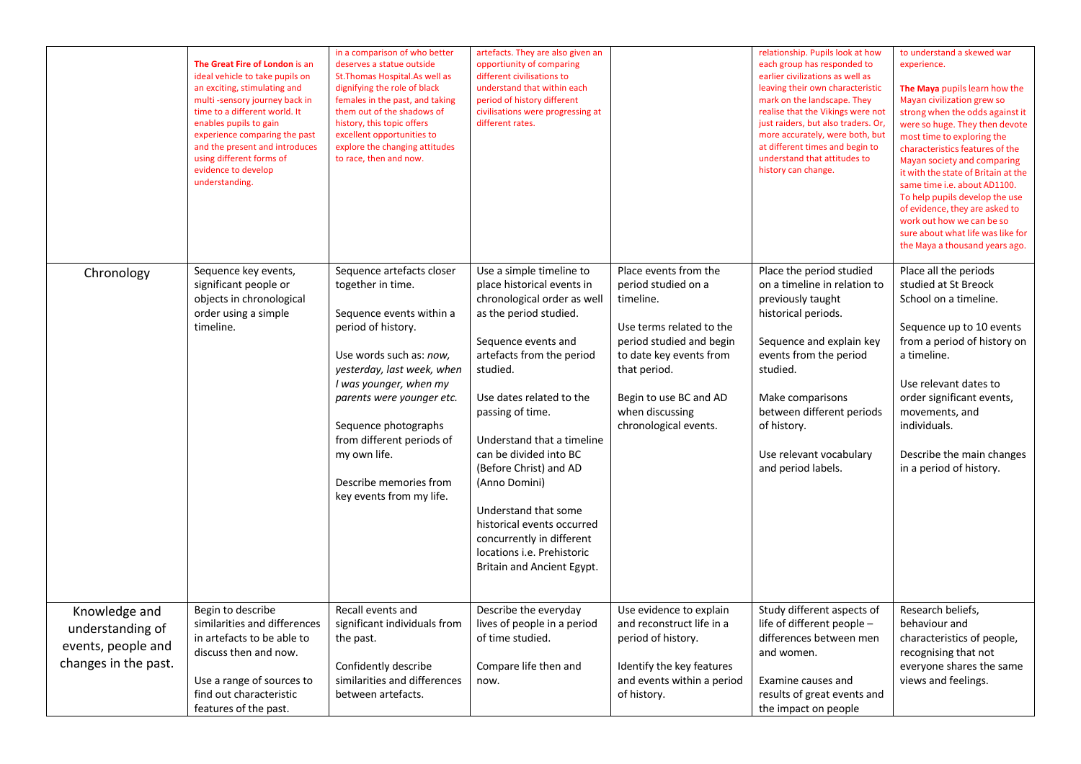|                                                                                 | The Great Fire of London is an<br>ideal vehicle to take pupils on<br>an exciting, stimulating and<br>multi-sensory journey back in<br>time to a different world. It<br>enables pupils to gain<br>experience comparing the past<br>and the present and introduces<br>using different forms of<br>evidence to develop<br>understanding. | in a comparison of who better<br>deserves a statue outside<br>St. Thomas Hospital. As well as<br>dignifying the role of black<br>females in the past, and taking<br>them out of the shadows of<br>history, this topic offers<br>excellent opportunities to<br>explore the changing attitudes<br>to race, then and now.                      | artefacts. They are also given an<br>opportiunity of comparing<br>different civilisations to<br>understand that within each<br>period of history different<br>civilisations were progressing at<br>different rates.                                                                                                                                                                                                                                                               |                                                                                                                                                                                                                                    | relationship. Pupils look at how<br>each group has responded to<br>earlier civilizations as well as<br>leaving their own characteristic<br>mark on the landscape. They<br>realise that the Vikings were not<br>just raiders, but also traders. Or,<br>more accurately, were both, but<br>at different times and begin to<br>understand that attitudes to<br>history can change. | to understand a skewed war<br>experience.<br>The Maya pupils learn how the<br>Mayan civilization grew so<br>strong when the odds against it<br>were so huge. They then devote<br>most time to exploring the<br>characteristics features of the<br>Mayan society and comparing<br>it with the state of Britain at the<br>same time i.e. about AD1100.<br>To help pupils develop the use<br>of evidence, they are asked to<br>work out how we can be so<br>sure about what life was like for<br>the Maya a thousand years ago. |
|---------------------------------------------------------------------------------|---------------------------------------------------------------------------------------------------------------------------------------------------------------------------------------------------------------------------------------------------------------------------------------------------------------------------------------|---------------------------------------------------------------------------------------------------------------------------------------------------------------------------------------------------------------------------------------------------------------------------------------------------------------------------------------------|-----------------------------------------------------------------------------------------------------------------------------------------------------------------------------------------------------------------------------------------------------------------------------------------------------------------------------------------------------------------------------------------------------------------------------------------------------------------------------------|------------------------------------------------------------------------------------------------------------------------------------------------------------------------------------------------------------------------------------|---------------------------------------------------------------------------------------------------------------------------------------------------------------------------------------------------------------------------------------------------------------------------------------------------------------------------------------------------------------------------------|------------------------------------------------------------------------------------------------------------------------------------------------------------------------------------------------------------------------------------------------------------------------------------------------------------------------------------------------------------------------------------------------------------------------------------------------------------------------------------------------------------------------------|
| Chronology                                                                      | Sequence key events,<br>significant people or<br>objects in chronological<br>order using a simple<br>timeline.                                                                                                                                                                                                                        | Sequence artefacts closer<br>together in time.<br>Sequence events within a<br>period of history.<br>Use words such as: now,<br>yesterday, last week, when<br>I was younger, when my<br>parents were younger etc.<br>Sequence photographs<br>from different periods of<br>my own life.<br>Describe memories from<br>key events from my life. | Use a simple timeline to<br>place historical events in<br>chronological order as well<br>as the period studied.<br>Sequence events and<br>artefacts from the period<br>studied.<br>Use dates related to the<br>passing of time.<br>Understand that a timeline<br>can be divided into BC<br>(Before Christ) and AD<br>(Anno Domini)<br>Understand that some<br>historical events occurred<br>concurrently in different<br>locations i.e. Prehistoric<br>Britain and Ancient Egypt. | Place events from the<br>period studied on a<br>timeline.<br>Use terms related to the<br>period studied and begin<br>to date key events from<br>that period.<br>Begin to use BC and AD<br>when discussing<br>chronological events. | Place the period studied<br>on a timeline in relation to<br>previously taught<br>historical periods.<br>Sequence and explain key<br>events from the period<br>studied.<br>Make comparisons<br>between different periods<br>of history.<br>Use relevant vocabulary<br>and period labels.                                                                                         | Place all the periods<br>studied at St Breock<br>School on a timeline.<br>Sequence up to 10 events<br>from a period of history on<br>a timeline.<br>Use relevant dates to<br>order significant events,<br>movements, and<br>individuals.<br>Describe the main changes<br>in a period of history.                                                                                                                                                                                                                             |
| Knowledge and<br>understanding of<br>events, people and<br>changes in the past. | Begin to describe<br>similarities and differences<br>in artefacts to be able to<br>discuss then and now.<br>Use a range of sources to<br>find out characteristic<br>features of the past.                                                                                                                                             | Recall events and<br>significant individuals from<br>the past.<br>Confidently describe<br>similarities and differences<br>between artefacts.                                                                                                                                                                                                | Describe the everyday<br>lives of people in a period<br>of time studied.<br>Compare life then and<br>now.                                                                                                                                                                                                                                                                                                                                                                         | Use evidence to explain<br>and reconstruct life in a<br>period of history.<br>Identify the key features<br>and events within a period<br>of history.                                                                               | Study different aspects of<br>life of different people -<br>differences between men<br>and women.<br>Examine causes and<br>results of great events and<br>the impact on people                                                                                                                                                                                                  | Research beliefs,<br>behaviour and<br>characteristics of people,<br>recognising that not<br>everyone shares the same<br>views and feelings.                                                                                                                                                                                                                                                                                                                                                                                  |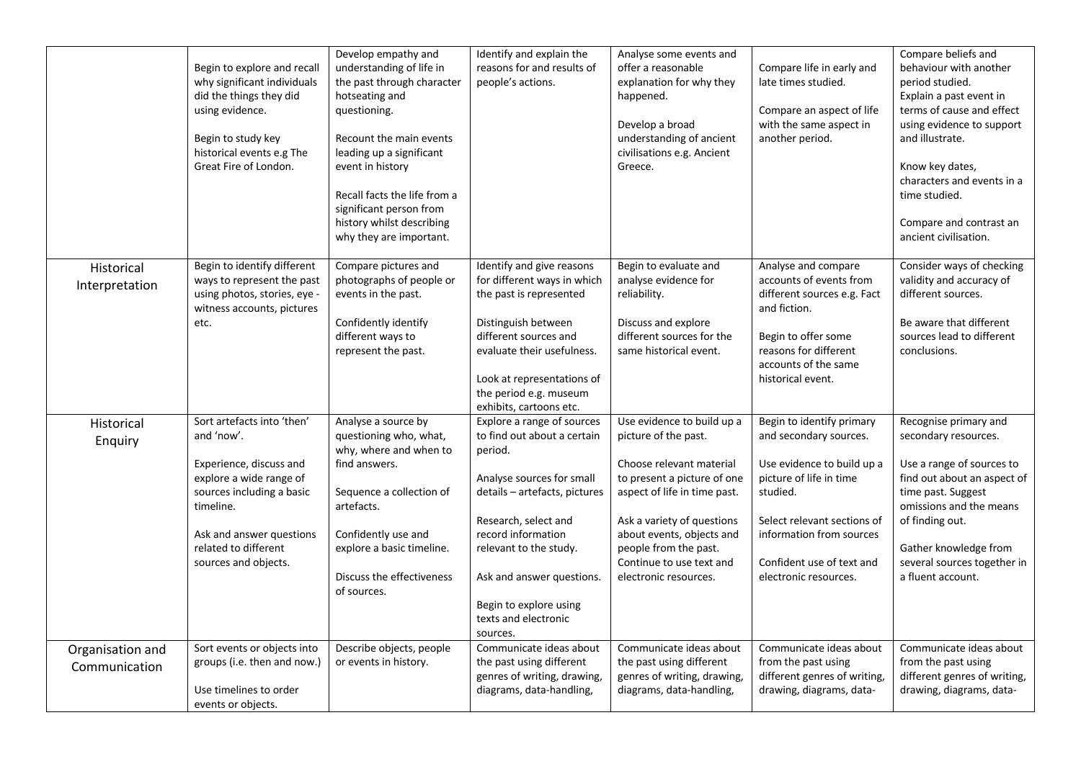|                                   | Begin to explore and recall<br>why significant individuals<br>did the things they did<br>using evidence.<br>Begin to study key<br>historical events e.g The<br>Great Fire of London.                                 | Develop empathy and<br>understanding of life in<br>the past through character<br>hotseating and<br>questioning.<br>Recount the main events<br>leading up a significant<br>event in history<br>Recall facts the life from a<br>significant person from<br>history whilst describing<br>why they are important. | Identify and explain the<br>reasons for and results of<br>people's actions.                                                                                                                                                                                                                           | Analyse some events and<br>offer a reasonable<br>explanation for why they<br>happened.<br>Develop a broad<br>understanding of ancient<br>civilisations e.g. Ancient<br>Greece.                                                                                                         | Compare life in early and<br>late times studied.<br>Compare an aspect of life<br>with the same aspect in<br>another period.                                                                                                               | Compare beliefs and<br>behaviour with another<br>period studied.<br>Explain a past event in<br>terms of cause and effect<br>using evidence to support<br>and illustrate.<br>Know key dates,<br>characters and events in a<br>time studied.<br>Compare and contrast an<br>ancient civilisation. |
|-----------------------------------|----------------------------------------------------------------------------------------------------------------------------------------------------------------------------------------------------------------------|---------------------------------------------------------------------------------------------------------------------------------------------------------------------------------------------------------------------------------------------------------------------------------------------------------------|-------------------------------------------------------------------------------------------------------------------------------------------------------------------------------------------------------------------------------------------------------------------------------------------------------|----------------------------------------------------------------------------------------------------------------------------------------------------------------------------------------------------------------------------------------------------------------------------------------|-------------------------------------------------------------------------------------------------------------------------------------------------------------------------------------------------------------------------------------------|------------------------------------------------------------------------------------------------------------------------------------------------------------------------------------------------------------------------------------------------------------------------------------------------|
| Historical<br>Interpretation      | Begin to identify different<br>ways to represent the past<br>using photos, stories, eye -<br>witness accounts, pictures<br>etc.                                                                                      | Compare pictures and<br>photographs of people or<br>events in the past.<br>Confidently identify<br>different ways to<br>represent the past.                                                                                                                                                                   | Identify and give reasons<br>for different ways in which<br>the past is represented<br>Distinguish between<br>different sources and<br>evaluate their usefulness.<br>Look at representations of<br>the period e.g. museum<br>exhibits, cartoons etc.                                                  | Begin to evaluate and<br>analyse evidence for<br>reliability.<br>Discuss and explore<br>different sources for the<br>same historical event.                                                                                                                                            | Analyse and compare<br>accounts of events from<br>different sources e.g. Fact<br>and fiction.<br>Begin to offer some<br>reasons for different<br>accounts of the same<br>historical event.                                                | Consider ways of checking<br>validity and accuracy of<br>different sources.<br>Be aware that different<br>sources lead to different<br>conclusions.                                                                                                                                            |
| Historical<br>Enquiry             | Sort artefacts into 'then'<br>and 'now'.<br>Experience, discuss and<br>explore a wide range of<br>sources including a basic<br>timeline.<br>Ask and answer questions<br>related to different<br>sources and objects. | Analyse a source by<br>questioning who, what,<br>why, where and when to<br>find answers.<br>Sequence a collection of<br>artefacts.<br>Confidently use and<br>explore a basic timeline.<br>Discuss the effectiveness<br>of sources.                                                                            | Explore a range of sources<br>to find out about a certain<br>period.<br>Analyse sources for small<br>details - artefacts, pictures<br>Research, select and<br>record information<br>relevant to the study.<br>Ask and answer questions.<br>Begin to explore using<br>texts and electronic<br>sources. | Use evidence to build up a<br>picture of the past.<br>Choose relevant material<br>to present a picture of one<br>aspect of life in time past.<br>Ask a variety of questions<br>about events, objects and<br>people from the past.<br>Continue to use text and<br>electronic resources. | Begin to identify primary<br>and secondary sources.<br>Use evidence to build up a<br>picture of life in time<br>studied.<br>Select relevant sections of<br>information from sources<br>Confident use of text and<br>electronic resources. | Recognise primary and<br>secondary resources.<br>Use a range of sources to<br>find out about an aspect of<br>time past. Suggest<br>omissions and the means<br>of finding out.<br>Gather knowledge from<br>several sources together in<br>a fluent account.                                     |
| Organisation and<br>Communication | Sort events or objects into<br>groups (i.e. then and now.)<br>Use timelines to order<br>events or objects.                                                                                                           | Describe objects, people<br>or events in history.                                                                                                                                                                                                                                                             | Communicate ideas about<br>the past using different<br>genres of writing, drawing,<br>diagrams, data-handling,                                                                                                                                                                                        | Communicate ideas about<br>the past using different<br>genres of writing, drawing,<br>diagrams, data-handling,                                                                                                                                                                         | Communicate ideas about<br>from the past using<br>different genres of writing,<br>drawing, diagrams, data-                                                                                                                                | Communicate ideas about<br>from the past using<br>different genres of writing,<br>drawing, diagrams, data-                                                                                                                                                                                     |